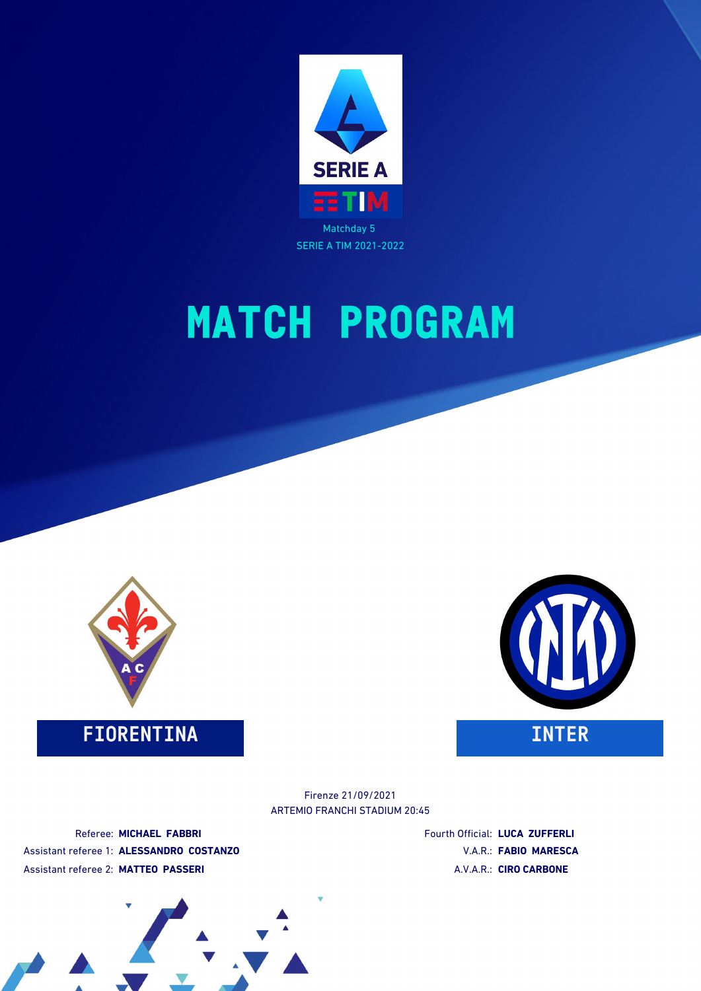

SERIE A TIM 2021-2022

# **MATCH PROGRAM**



**FIORENTINA INTER**



ARTEMIO FRANCHI STADIUM 20:45 Firenze 21/09/2021

Referee: **MICHAEL FABBRI** Assistant referee 1: **ALESSANDRO COSTANZO** Assistant referee 2: **MATTEO PASSERI**

Fourth Official: **LUCA ZUFFERLI** V.A.R.: **FABIO MARESCA** A.V.A.R.: **CIRO CARBONE**

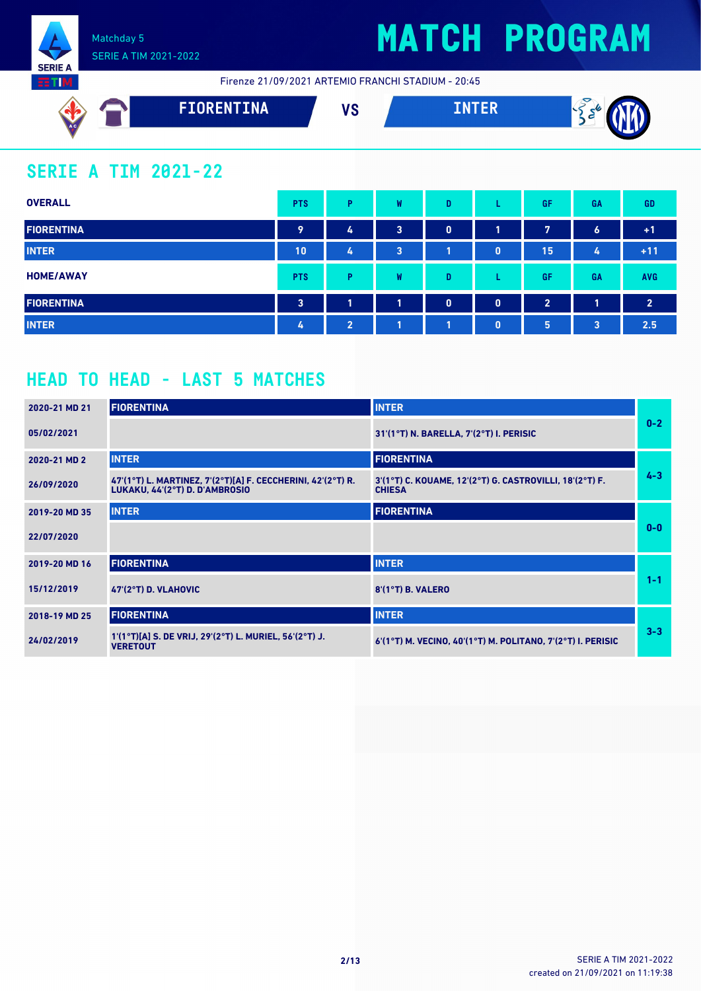

Firenze 21/09/2021 ARTEMIO FRANCHI STADIUM - 20:45



### **SERIE A TIM 2021-22**

**SERIE A RTIM** 

| <b>OVERALL</b>    | <b>PTS</b>              | Þ              | W | D            |              | GF             | <b>GA</b>        | <b>GD</b>      |
|-------------------|-------------------------|----------------|---|--------------|--------------|----------------|------------------|----------------|
| <b>FIORENTINA</b> | 9                       | 4              | 3 | $\mathbf{0}$ | 1            | 7              | $\boldsymbol{6}$ | $+1$           |
| <b>INTER</b>      | 10                      | 4              | 3 | T.           | $\mathbf{0}$ | 15             | 4                | $+11$          |
| <b>HOME/AWAY</b>  | <b>PTS</b>              | Þ              | W | D            |              | GF             | GA               | <b>AVG</b>     |
| <b>FIORENTINA</b> | $\overline{\mathbf{3}}$ | и              | 1 | $\mathbf{0}$ | $\mathbf{0}$ | $\overline{2}$ | 1                | $\overline{2}$ |
| <b>INTER</b>      | 4                       | $\overline{2}$ | л | 1            | $\mathbf{0}$ | 5              | $\overline{3}$   | 2.5            |

### **HEAD TO HEAD - LAST 5 MATCHES**

| 2020-21 MD 21 | <b>FIORENTINA</b>                                                                             | <b>INTER</b>                                                             |         |
|---------------|-----------------------------------------------------------------------------------------------|--------------------------------------------------------------------------|---------|
| 05/02/2021    |                                                                                               | 31'(1°T) N. BARELLA, 7'(2°T) I. PERISIC                                  | $0-2$   |
| 2020-21 MD 2  | <b>INTER</b>                                                                                  | <b>FIORENTINA</b>                                                        |         |
| 26/09/2020    | 47'(1°T) L. MARTINEZ, 7'(2°T)[A] F. CECCHERINI, 42'(2°T) R.<br>LUKAKU, 44'(2°T) D. D'AMBROSIO | 3'(1°T) C. KOUAME, 12'(2°T) G. CASTROVILLI, 18'(2°T) F.<br><b>CHIESA</b> | $4 - 3$ |
| 2019-20 MD 35 | <b>INTER</b>                                                                                  | <b>FIORENTINA</b>                                                        |         |
| 22/07/2020    |                                                                                               |                                                                          | $0 - 0$ |
| 2019-20 MD 16 | <b>FIORENTINA</b>                                                                             | <b>INTER</b>                                                             |         |
| 15/12/2019    | 47'(2°T) D. VLAHOVIC                                                                          | 8'(1°T) B. VALERO                                                        | $1 - 1$ |
| 2018-19 MD 25 | <b>FIORENTINA</b>                                                                             | <b>INTER</b>                                                             |         |
| 24/02/2019    | 1'(1°T)[A] S. DE VRIJ, 29'(2°T) L. MURIEL, 56'(2°T) J.<br><b>VERETOUT</b>                     | $6'(1°T)$ M. VECINO, $40'(1°T)$ M. POLITANO, $7'(2°T)$ I. PERISIC        | $3 - 3$ |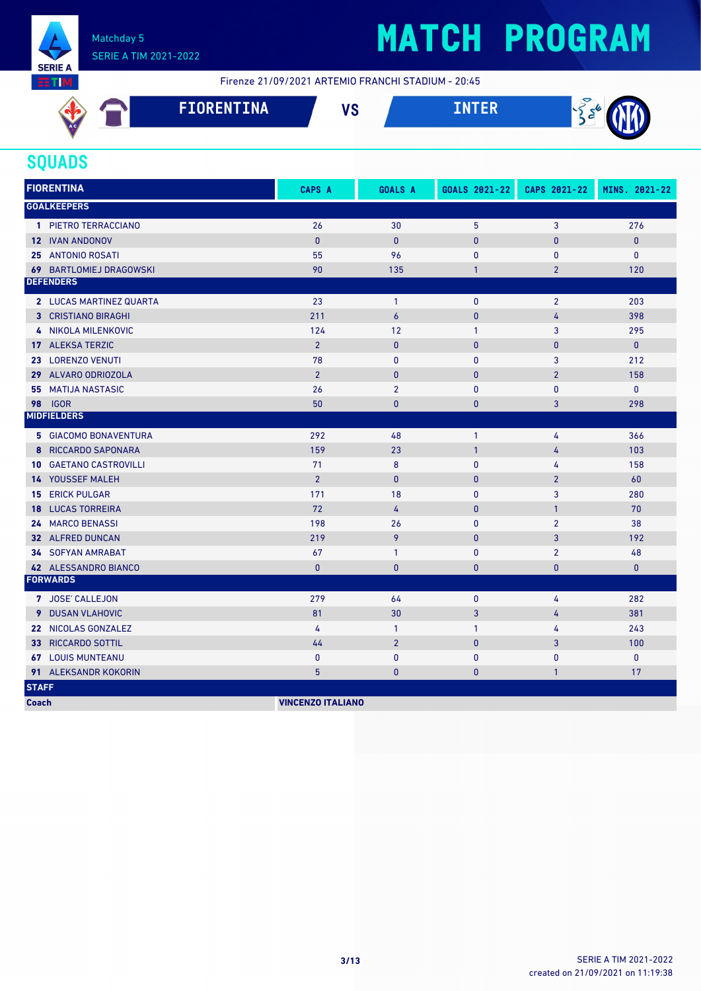

# **MATCH PROGRAM**

Firenze 21/09/2021 ARTEMIO FRANCHI STADIUM - 20:45

| AC | FIORENTINA | uо<br>ט ו | $- - -$<br>$\overline{ }$ |
|----|------------|-----------|---------------------------|
|    |            |           |                           |

### **SQUADS**

| <b>FIORENTINA</b>              | <b>CAPS A</b>            | <b>GOALS A</b>   | GOALS 2021-22 | CAPS 2021-22   | MINS. 2021-22 |
|--------------------------------|--------------------------|------------------|---------------|----------------|---------------|
| <b>GOALKEEPERS</b>             |                          |                  |               |                |               |
| 1 PIETRO TERRACCIANO           | 26                       | 30               | 5             | 3              | 276           |
| <b>12 IVAN ANDONOV</b>         | $\mathbf{0}$             | $\mathbf{0}$     | $\bf{0}$      | $\bf{0}$       | $\pmb{0}$     |
| <b>25 ANTONIO ROSATI</b>       | 55                       | 96               | 0             | $\mathbf{0}$   | $\mathbf{0}$  |
| <b>69 BARTLOMIEJ DRAGOWSKI</b> | 90                       | 135              | $\mathbf{1}$  | $\overline{2}$ | 120           |
| <b>DEFENDERS</b>               |                          |                  |               |                |               |
| 2 LUCAS MARTINEZ QUARTA        | 23                       | $\overline{1}$   | 0             | $\overline{2}$ | 203           |
| 3 CRISTIANO BIRAGHI            | 211                      | $\overline{6}$   | $\mathbf{0}$  | 4              | 398           |
| 4 NIKOLA MILENKOVIC            | 124                      | 12               | $\mathbf{1}$  | 3              | 295           |
| 17 ALEKSA TERZIC               | $\overline{2}$           | $\mathbf{0}$     | $\pmb{0}$     | $\mathbf{0}$   | $\mathbf{0}$  |
| 23 LORENZO VENUTI              | 78                       | $\mathbf{0}$     | 0             | 3              | 212           |
| 29 ALVARO ODRIOZOLA            | $\overline{2}$           | $\mathbf{0}$     | $\mathbf{0}$  | $\overline{2}$ | 158           |
| <b>MATIJA NASTASIC</b><br>55   | 26                       | $\overline{2}$   | 0             | $\mathbf{0}$   | $\mathbf 0$   |
| <b>98 IGOR</b>                 | 50                       | $\bf{0}$         | $\mathbf{0}$  | 3              | 298           |
| <b>MIDFIELDERS</b>             |                          |                  |               |                |               |
| <b>5 GIACOMO BONAVENTURA</b>   | 292                      | 48               | $\mathbf{1}$  | 4              | 366           |
| 8 RICCARDO SAPONARA            | 159                      | 23               | $\mathbf{1}$  | 4              | 103           |
| <b>10 GAETANO CASTROVILLI</b>  | 71                       | $\boldsymbol{8}$ | $\pmb{0}$     | 4              | 158           |
| <b>14 YOUSSEF MALEH</b>        | $\overline{2}$           | $\mathbf{0}$     | $\bf{0}$      | $\overline{2}$ | 60            |
| <b>15 ERICK PULGAR</b>         | 171                      | 18               | 0             | 3              | 280           |
| <b>18 LUCAS TORREIRA</b>       | 72                       | $\overline{4}$   | $\mathbf{0}$  | $\mathbf{1}$   | 70            |
| 24 MARCO BENASSI               | 198                      | 26               | 0             | $\overline{2}$ | 38            |
| 32 ALFRED DUNCAN               | 219                      | 9                | $\pmb{0}$     | 3              | 192           |
| <b>34 SOFYAN AMRABAT</b>       | 67                       | $\mathbf{1}$     | 0             | $\overline{2}$ | 48            |
| 42 ALESSANDRO BIANCO           | $\mathbf{0}$             | $\mathbf{0}$     | $\mathbf{0}$  | $\bf{0}$       | $\mathbf{0}$  |
| <b>FORWARDS</b>                |                          |                  |               |                |               |
| 7 JOSE' CALLEJON               | 279                      | 64               | 0             | 4              | 282           |
| 9 DUSAN VLAHOVIC               | 81                       | 30               | 3             | 4              | 381           |
| 22 NICOLAS GONZALEZ            | 4                        | $\mathbf{1}$     | $\mathbf{1}$  | 4              | 243           |
| 33 RICCARDO SOTTIL             | 44                       | $\overline{2}$   | $\pmb{0}$     | 3              | 100           |
| <b>67 LOUIS MUNTEANU</b>       | $\mathbf{0}$             | $\mathbf{0}$     | 0             | $\bf{0}$       | $\pmb{0}$     |
| 91 ALEKSANDR KOKORIN           | 5                        | $\mathbf{0}$     | $\bf{0}$      | $\mathbf{1}$   | 17            |
| <b>STAFF</b>                   |                          |                  |               |                |               |
| <b>Coach</b>                   | <b>VINCENZO ITALIANO</b> |                  |               |                |               |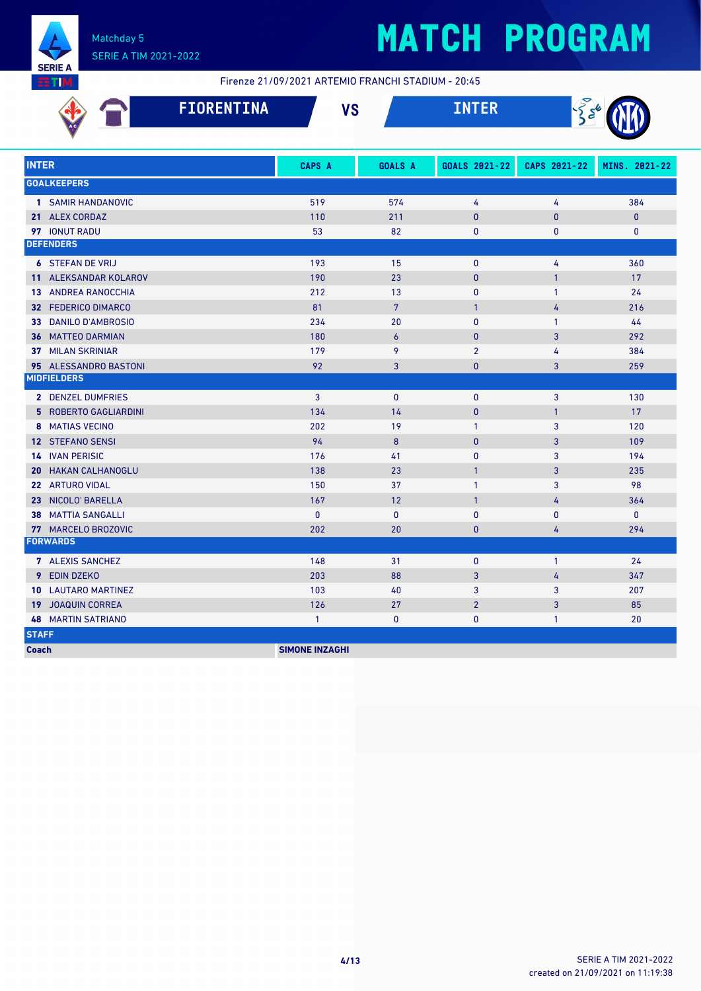

# **MATCH PROGRAM**

Firenze 21/09/2021 ARTEMIO FRANCHI STADIUM - 20:45

| <b>FIORENTINA</b>             | <b>VS</b>             |                  |                |              | $\frac{1}{2}$ $\frac{1}{2}$ |  |  |
|-------------------------------|-----------------------|------------------|----------------|--------------|-----------------------------|--|--|
| <b>INTER</b>                  | <b>CAPS A</b>         | <b>GOALS A</b>   | GOALS 2021-22  | CAPS 2021-22 | MINS. 2021-22               |  |  |
| <b>GOALKEEPERS</b>            |                       |                  |                |              |                             |  |  |
| 1 SAMIR HANDANOVIC            | 519                   | 574              | 4              | 4            | 384                         |  |  |
| 21 ALEX CORDAZ                | 110                   | 211              | $\mathbf{0}$   | $\mathbf{0}$ | $\mathbf{0}$                |  |  |
| <b>97 IONUT RADU</b>          | 53                    | 82               | 0              | $\mathbf{0}$ | $\mathbf{0}$                |  |  |
| <b>DEFENDERS</b>              |                       |                  |                |              |                             |  |  |
| <b>6 STEFAN DE VRIJ</b>       | 193                   | 15               | $\pmb{0}$      | 4            | 360                         |  |  |
| 11 ALEKSANDAR KOLAROV         | 190                   | 23               | $\mathbf{0}$   | $\mathbf{1}$ | 17                          |  |  |
| <b>13 ANDREA RANOCCHIA</b>    | 212                   | 13               | $\mathbf{0}$   | $\mathbf{1}$ | 24                          |  |  |
| 32 FEDERICO DIMARCO           | 81                    | $7\overline{ }$  | $\mathbf{1}$   | 4            | 216                         |  |  |
| 33 DANILO D'AMBROSIO          | 234                   | 20               | $\mathbf{0}$   | $\mathbf{1}$ | 44                          |  |  |
| <b>36 MATTEO DARMIAN</b>      | 180                   | $\boldsymbol{6}$ | $\mathbf{0}$   | 3            | 292                         |  |  |
| <b>37 MILAN SKRINIAR</b>      | 179                   | 9                | $\overline{2}$ | 4            | 384                         |  |  |
| 95 ALESSANDRO BASTONI         | 92                    | 3                | 0              | 3            | 259                         |  |  |
| <b>MIDFIELDERS</b>            |                       |                  |                |              |                             |  |  |
| 2 DENZEL DUMFRIES             | 3                     | $\mathbf{0}$     | $\mathbf{0}$   | 3            | 130                         |  |  |
| <b>5 ROBERTO GAGLIARDINI</b>  | 134                   | 14               | $\mathbf{0}$   | $\mathbf{1}$ | 17                          |  |  |
| <b>8 MATIAS VECINO</b>        | 202                   | 19               | $\mathbf{1}$   | 3            | 120                         |  |  |
| 12 STEFANO SENSI              | 94                    | 8                | 0              | 3            | 109                         |  |  |
| <b>14 IVAN PERISIC</b>        | 176                   | 41               | 0              | 3            | 194                         |  |  |
| <b>HAKAN CALHANOGLU</b><br>20 | 138                   | 23               | $\mathbf{1}$   | 3            | 235                         |  |  |
| 22 ARTURO VIDAL               | 150                   | 37               | $\mathbf{1}$   | 3            | 98                          |  |  |
| NICOLO' BARELLA<br>23         | 167                   | 12               | $\mathbf{1}$   | 4            | 364                         |  |  |
| <b>MATTIA SANGALLI</b><br>38  | $\mathbf{0}$          | $\mathbf{0}$     | $\mathbf{0}$   | $\mathbf{0}$ | $\mathbf{0}$                |  |  |
| 77 MARCELO BROZOVIC           | 202                   | 20               | 0              | 4            | 294                         |  |  |
| <b>FORWARDS</b>               |                       |                  |                |              |                             |  |  |
| 7 ALEXIS SANCHEZ              | 148                   | 31               | $\mathbf{0}$   | $\mathbf{1}$ | 24                          |  |  |
| 9 EDIN DZEKO                  | 203                   | 88               | 3              | 4            | 347                         |  |  |
| 10 LAUTARO MARTINEZ           | 103                   | 40               | 3              | 3            | 207                         |  |  |
| JOAQUIN CORREA<br>19          | 126                   | 27               | $\overline{2}$ | 3            | 85                          |  |  |
| <b>MARTIN SATRIANO</b><br>48  | $\mathbf{1}$          | $\mathbf{0}$     | $\mathbf{0}$   | $\mathbf{1}$ | 20                          |  |  |
| <b>STAFF</b>                  |                       |                  |                |              |                             |  |  |
| <b>Coach</b>                  | <b>SIMONE INZAGHI</b> |                  |                |              |                             |  |  |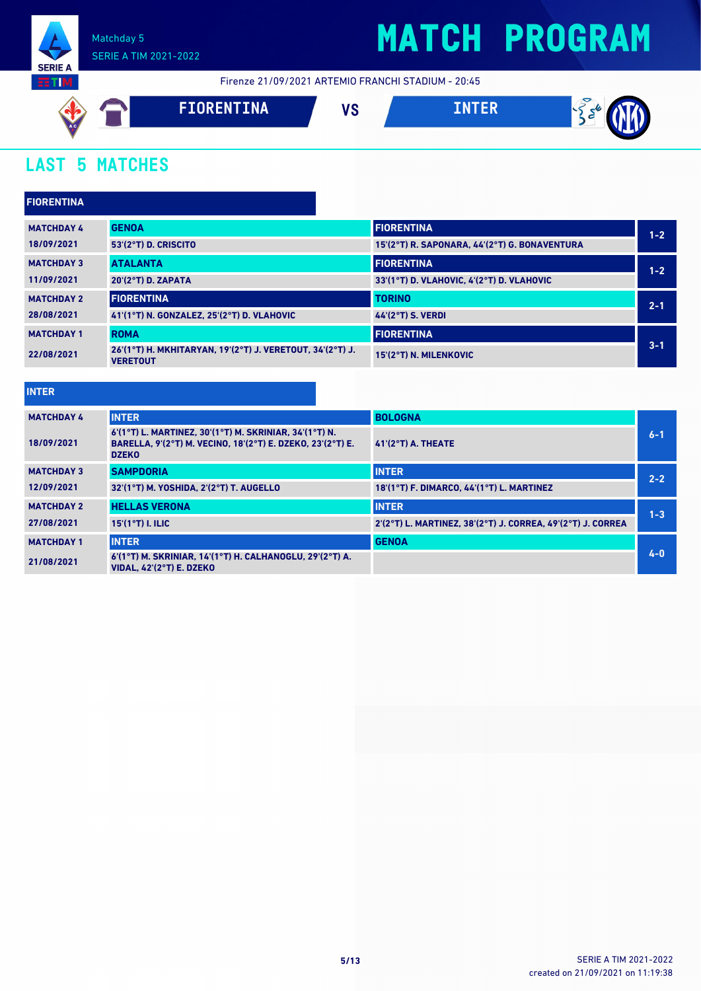

Firenze 21/09/2021 ARTEMIO FRANCHI STADIUM - 20:45



### **LAST 5 MATCHES**

| <b>FIORENTINA</b> |                                                                              |                                               |         |
|-------------------|------------------------------------------------------------------------------|-----------------------------------------------|---------|
| <b>MATCHDAY 4</b> | <b>GENOA</b>                                                                 | <b>FIORENTINA</b>                             | $1 - 2$ |
| 18/09/2021        | 53'(2°T) D. CRISCITO                                                         | 15'(2°T) R. SAPONARA, 44'(2°T) G. BONAVENTURA |         |
| <b>MATCHDAY 3</b> | <b>ATALANTA</b>                                                              | <b>FIORENTINA</b>                             | $1 - 2$ |
| 11/09/2021        | 20'(2°T) D. ZAPATA                                                           | 33'(1°T) D. VLAHOVIC, 4'(2°T) D. VLAHOVIC     |         |
| <b>MATCHDAY 2</b> | <b>FIORENTINA</b>                                                            | <b>TORINO</b>                                 | $2 - 1$ |
| 28/08/2021        | 41'(1°T) N. GONZALEZ, 25'(2°T) D. VLAHOVIC                                   | <b>44'(2°T) S. VERDI</b>                      |         |
| <b>MATCHDAY 1</b> | <b>ROMA</b>                                                                  | <b>FIORENTINA</b>                             |         |
| 22/08/2021        | 26'(1°T) H. MKHITARYAN. 19'(2°T) J. VERETOUT. 34'(2°T) J.<br><b>VERETOUT</b> | 15'(2°T) N. MILENKOVIC                        | $3 - 1$ |

| <b>INTER</b>      |                                                                                                                                      |                                                             |         |
|-------------------|--------------------------------------------------------------------------------------------------------------------------------------|-------------------------------------------------------------|---------|
| <b>MATCHDAY 4</b> | <b>INTER</b>                                                                                                                         | <b>BOLOGNA</b>                                              |         |
| 18/09/2021        | 6'(1°T) L. MARTINEZ, 30'(1°T) M. SKRINIAR, 34'(1°T) N.<br>BARELLA, 9'(2°T) M. VECINO, 18'(2°T) E. DZEKO, 23'(2°T) E.<br><b>DZEKO</b> | $41(2°T)$ A. THEATE                                         | $6 - 1$ |
| <b>MATCHDAY 3</b> | <b>SAMPDORIA</b>                                                                                                                     | <b>INTER</b>                                                | $2 - 2$ |
| 12/09/2021        | 32'(1°T) M. YOSHIDA. 2'(2°T) T. AUGELLO                                                                                              | 18'(1°T) F. DIMARCO, 44'(1°T) L. MARTINEZ                   |         |
| <b>MATCHDAY 2</b> | <b>HELLAS VERONA</b>                                                                                                                 | <b>INTER</b>                                                | $1 - 3$ |
| 27/08/2021        | $15'(1°T)$ I. ILIC                                                                                                                   | 2'(2°T) L. MARTINEZ, 38'(2°T) J. CORREA, 49'(2°T) J. CORREA |         |
| <b>MATCHDAY 1</b> | <b>INTER</b>                                                                                                                         | <b>GENOA</b>                                                |         |
| 21/08/2021        | 6'(1°T) M. SKRINIAR. 14'(1°T) H. CALHANOGLU. 29'(2°T) A.<br><b>VIDAL, 42'(2°T) E. DZEKO</b>                                          |                                                             | $4 - 0$ |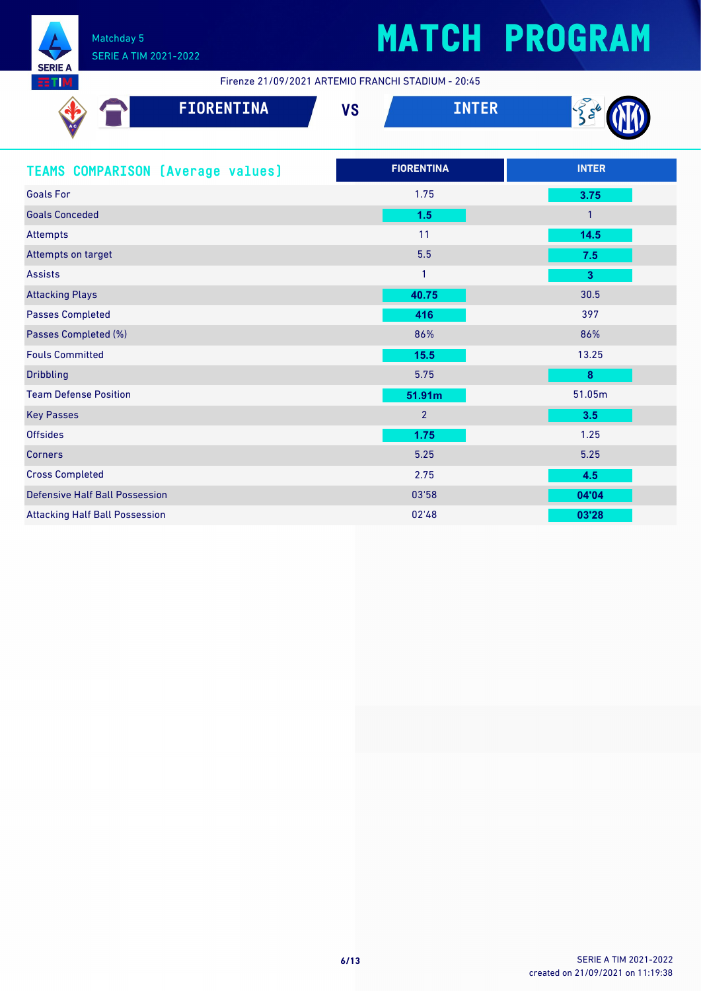

Firenze 21/09/2021 ARTEMIO FRANCHI STADIUM - 20:45

| Ac | <b>FIORENTINA</b> | $\mathbf{u}$<br>ט ו | <b>TER</b> |  |
|----|-------------------|---------------------|------------|--|
|    |                   |                     |            |  |

| <b>TEAMS COMPARISON (Average values)</b> | <b>FIORENTINA</b> | <b>INTER</b>            |
|------------------------------------------|-------------------|-------------------------|
| <b>Goals For</b>                         | 1.75              | 3.75                    |
| <b>Goals Conceded</b>                    | 1.5               | $\mathbf{1}$            |
| Attempts                                 | 11                | $14.5$                  |
| Attempts on target                       | 5.5               | 7.5                     |
| <b>Assists</b>                           | $\mathbf{1}$      | $\overline{\mathbf{3}}$ |
| <b>Attacking Plays</b>                   | 40.75             | 30.5                    |
| <b>Passes Completed</b>                  | 416               | 397                     |
| Passes Completed (%)                     | 86%               | 86%                     |
| <b>Fouls Committed</b>                   | 15.5              | 13.25                   |
| <b>Dribbling</b>                         | 5.75              | 8                       |
| <b>Team Defense Position</b>             | 51.91m            | 51.05m                  |
| <b>Key Passes</b>                        | $\overline{2}$    | 3.5                     |
| <b>Offsides</b>                          | 1.75              | 1.25                    |
| <b>Corners</b>                           | 5.25              | 5.25                    |
| <b>Cross Completed</b>                   | 2.75              | 4.5                     |
| <b>Defensive Half Ball Possession</b>    | 03'58             | 04'04                   |
| <b>Attacking Half Ball Possession</b>    | 02'48             | 03'28                   |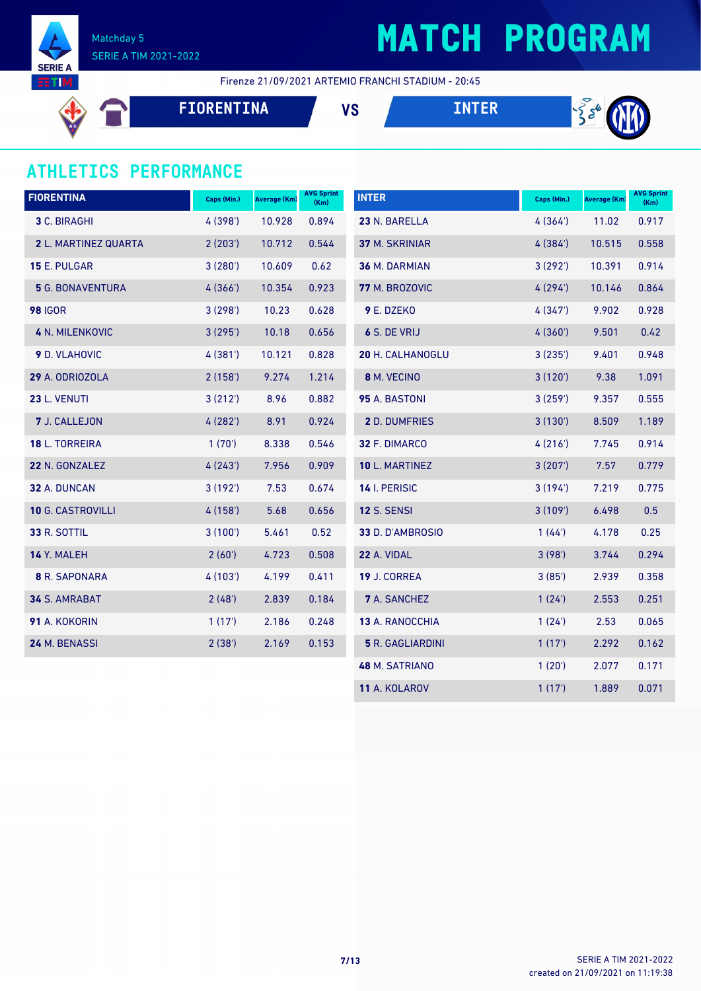

## **MATCH PROGRAM**

Firenze 21/09/2021 ARTEMIO FRANCHI STADIUM - 20:45

**FIORENTINA VS INTER**





### **ATHLETICS PERFORMANCE**

| <b>FIORENTINA</b>        | Caps (Min.) | <b>Average (Km)</b> | <b>AVG Sprint</b><br>(Km) | <b>INTER</b>            | Caps (Min.) | Average (Km) | <b>AVG Sprint</b><br>(Km) |
|--------------------------|-------------|---------------------|---------------------------|-------------------------|-------------|--------------|---------------------------|
| 3 C. BIRAGHI             | 4 (398')    | 10.928              | 0.894                     | 23 N. BARELLA           | 4(364)      | 11.02        | 0.917                     |
| 2 L. MARTINEZ QUARTA     | 2(203')     | 10.712              | 0.544                     | 37 M. SKRINIAR          | 4(384)      | 10.515       | 0.558                     |
| 15 E. PULGAR             | 3(280)      | 10.609              | 0.62                      | 36 M. DARMIAN           | 3(292)      | 10.391       | 0.914                     |
| <b>5</b> G. BONAVENTURA  | 4(366)      | 10.354              | 0.923                     | 77 M. BROZOVIC          | 4(294)      | 10.146       | 0.864                     |
| <b>98 IGOR</b>           | 3(298)      | 10.23               | 0.628                     | 9 E. DZEKO              | 4(347)      | 9.902        | 0.928                     |
| <b>4 N. MILENKOVIC</b>   | 3(295)      | 10.18               | 0.656                     | 6 S. DE VRIJ            | 4(360)      | 9.501        | 0.42                      |
| <b>9</b> D. VLAHOVIC     | 4(381)      | 10.121              | 0.828                     | <b>20 H. CALHANOGLU</b> | 3(235)      | 9.401        | 0.948                     |
| 29 A. ODRIOZOLA          | 2(158)      | 9.274               | 1.214                     | 8 M. VECINO             | 3(120')     | 9.38         | 1.091                     |
| 23 L. VENUTI             | 3(212)      | 8.96                | 0.882                     | 95 A. BASTONI           | 3(259)      | 9.357        | 0.555                     |
| 7 J. CALLEJON            | 4(282)      | 8.91                | 0.924                     | <b>2</b> D. DUMFRIES    | 3(130)      | 8.509        | 1.189                     |
| 18 L. TORREIRA           | 1(70)       | 8.338               | 0.546                     | 32 F. DIMARCO           | 4(216)      | 7.745        | 0.914                     |
| 22 N. GONZALEZ           | 4(243)      | 7.956               | 0.909                     | 10 L. MARTINEZ          | 3(207)      | 7.57         | 0.779                     |
| 32 A. DUNCAN             | 3(192)      | 7.53                | 0.674                     | 14 I. PERISIC           | 3(194)      | 7.219        | 0.775                     |
| <b>10 G. CASTROVILLI</b> | 4(158)      | 5.68                | 0.656                     | <b>12 S. SENSI</b>      | 3(109)      | 6.498        | 0.5                       |
| <b>33 R. SOTTIL</b>      | 3(100')     | 5.461               | 0.52                      | 33 D. D'AMBROSIO        | 1(44)       | 4.178        | 0.25                      |
| 14 Y. MALEH              | 2(60')      | 4.723               | 0.508                     | 22 A. VIDAL             | 3(98)       | 3.744        | 0.294                     |
| <b>8</b> R. SAPONARA     | 4(103)      | 4.199               | 0.411                     | 19 J. CORREA            | 3(85)       | 2.939        | 0.358                     |
| 34 S. AMRABAT            | 2(48)       | 2.839               | 0.184                     | <b>7</b> A. SANCHEZ     | 1(24)       | 2.553        | 0.251                     |
| 91 A. KOKORIN            | 1(17)       | 2.186               | 0.248                     | 13 A. RANOCCHIA         | 1(24)       | 2.53         | 0.065                     |
| 24 M. BENASSI            | 2(38')      | 2.169               | 0.153                     | <b>5</b> R. GAGLIARDINI | 1(17)       | 2.292        | 0.162                     |
|                          |             |                     |                           | <b>48 M. SATRIANO</b>   | 1(20')      | 2.077        | 0.171                     |
|                          |             |                     |                           | 11 A. KOLAROV           | 1(17)       | 1.889        | 0.071                     |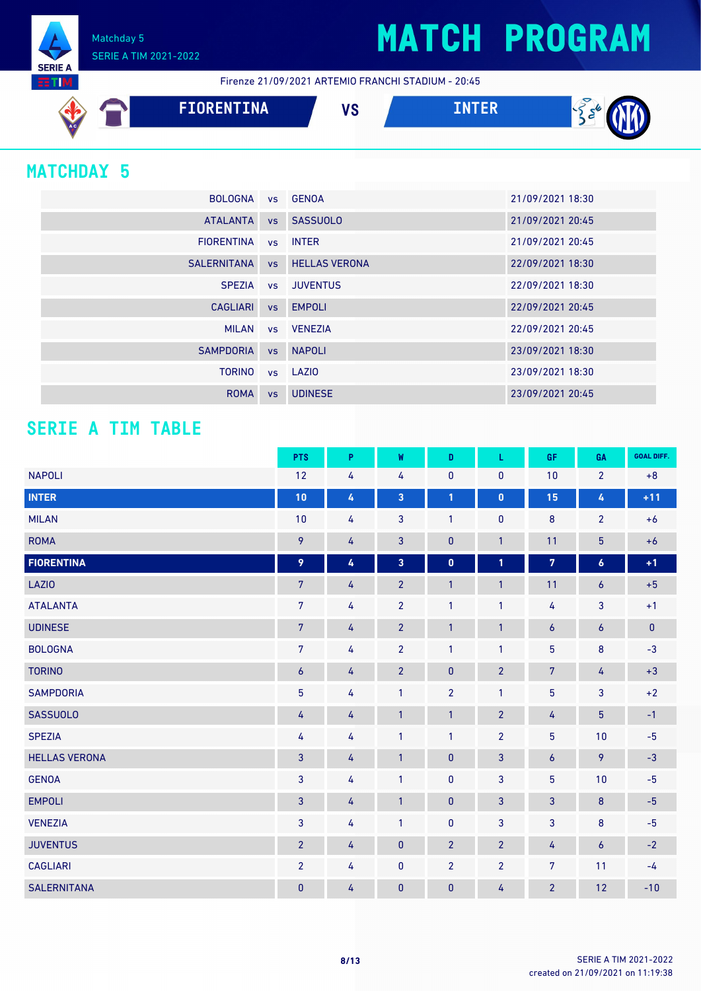Matchday 5 SERIE A TIM 2021-2022

Firenze 21/09/2021 ARTEMIO FRANCHI STADIUM - 20:45



### **MATCHDAY 5**

**SERIE A RTIM** 

| BOLOGNA vs GENOA    |                              | 21/09/2021 18:30 |
|---------------------|------------------------------|------------------|
| <b>ATALANTA</b>     | vs SASSUOLO                  | 21/09/2021 20:45 |
| FIORENTINA VS INTER |                              | 21/09/2021 20:45 |
|                     | SALERNITANA VS HELLAS VERONA | 22/09/2021 18:30 |
|                     | SPEZIA vs JUVENTUS           | 22/09/2021 18:30 |
| CAGLIARI vs EMPOLI  |                              | 22/09/2021 20:45 |
|                     | MILAN vs VENEZIA             | 22/09/2021 20:45 |
| SAMPDORIA           | vs NAPOLI                    | 23/09/2021 18:30 |
| <b>TORINO</b>       | vs LAZIO                     | 23/09/2021 18:30 |
| <b>ROMA</b>         | vs UDINESE                   | 23/09/2021 20:45 |

### **SERIE A TIM TABLE**

|                      | <b>PTS</b>       | P | W                       | D              | L              | GF               | GA               | <b>GOAL DIFF.</b> |
|----------------------|------------------|---|-------------------------|----------------|----------------|------------------|------------------|-------------------|
| <b>NAPOLI</b>        | 12               | 4 | 4                       | $\pmb{0}$      | $\pmb{0}$      | 10               | $\overline{2}$   | $+8$              |
| <b>INTER</b>         | 10               | 4 | $\overline{\mathbf{3}}$ | 1              | $\pmb{0}$      | 15               | 4                | $+11$             |
| <b>MILAN</b>         | 10               | 4 | 3                       | $\mathbf{1}$   | $\pmb{0}$      | $\bf 8$          | $\overline{2}$   | $+6$              |
| <b>ROMA</b>          | 9                | 4 | $\mathbf{3}$            | $\pmb{0}$      | $\overline{1}$ | 11               | $\overline{5}$   | $+6$              |
| <b>FIORENTINA</b>    | 9                | 4 | $\overline{\mathbf{3}}$ | $\mathbf 0$    | $\mathbf{1}$   | $\overline{7}$   | $\pmb{6}$        | $+1$              |
| <b>LAZIO</b>         | $7\phantom{.}$   | 4 | $\overline{2}$          | $\mathbf{1}$   | $\overline{1}$ | 11               | $\boldsymbol{6}$ | $+5$              |
| <b>ATALANTA</b>      | $\overline{7}$   | 4 | $\overline{2}$          | $\mathbf{1}$   | $\mathbf{1}$   | 4                | $\mathbf{3}$     | $+1$              |
| <b>UDINESE</b>       | $\sqrt{7}$       | 4 | $\overline{2}$          | $\mathbf{1}$   | $\mathbf{1}$   | $\boldsymbol{6}$ | $\boldsymbol{6}$ | $\pmb{0}$         |
| <b>BOLOGNA</b>       | $\overline{7}$   | 4 | $\overline{2}$          | 1              | $\mathbf{1}$   | $5\phantom{.0}$  | $\bf 8$          | $-3$              |
| <b>TORINO</b>        | $\boldsymbol{6}$ | 4 | $\overline{2}$          | $\pmb{0}$      | $\overline{2}$ | $\sqrt{7}$       | 4                | $+3$              |
| <b>SAMPDORIA</b>     | $\overline{5}$   | 4 | $\mathbf{1}$            | $\overline{2}$ | $\mathbf{1}$   | $\overline{5}$   | $\overline{3}$   | $+2$              |
| <b>SASSUOLO</b>      | 4                | 4 | $\mathbf{1}$            | $\mathbf{1}$   | $\overline{2}$ | 4                | $\overline{5}$   | $-1$              |
| <b>SPEZIA</b>        | 4                | 4 | $\mathbf{1}$            | $\mathbf{1}$   | $\overline{2}$ | 5                | 10               | $-5$              |
| <b>HELLAS VERONA</b> | 3                | 4 | $\mathbf{1}$            | $\pmb{0}$      | 3              | $\boldsymbol{6}$ | 9                | $-3$              |
| <b>GENOA</b>         | $\mathbf{3}$     | 4 | $\mathbf{1}$            | $\pmb{0}$      | $\mathbf{3}$   | $\overline{5}$   | 10               | $-5$              |
| <b>EMPOLI</b>        | 3                | 4 | $\mathbf{1}$            | $\pmb{0}$      | $\mathbf{3}$   | 3                | $\bf 8$          | $-5$              |
| <b>VENEZIA</b>       | 3                | 4 | $\mathbf{1}$            | $\pmb{0}$      | 3              | 3                | $\bf 8$          | $-5$              |
| <b>JUVENTUS</b>      | $\overline{2}$   | 4 | $\pmb{0}$               | $\overline{2}$ | $\overline{2}$ | 4                | $\pmb{6}$        | $-2$              |
| <b>CAGLIARI</b>      | $\overline{2}$   | 4 | $\pmb{0}$               | $\overline{2}$ | $\overline{2}$ | 7                | 11               | $-4$              |
| <b>SALERNITANA</b>   | $\pmb{0}$        | 4 | $\pmb{0}$               | $\pmb{0}$      | 4              | $\overline{2}$   | 12               | $-10$             |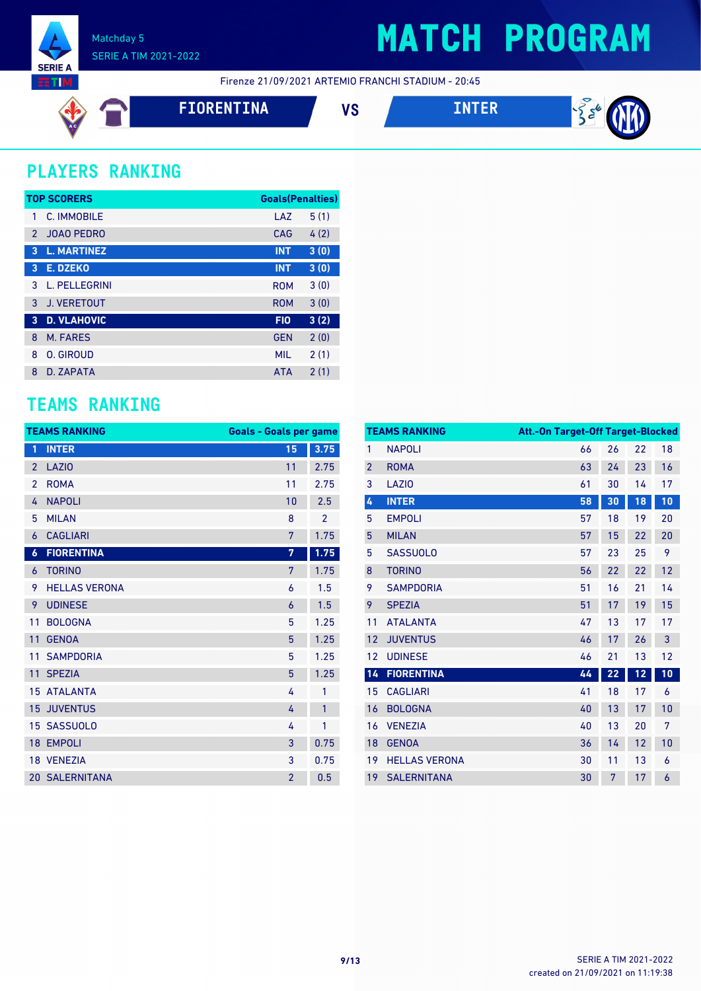

Firenze 21/09/2021 ARTEMIO FRANCHI STADIUM - 20:45

$$
\mathfrak{b} \in
$$

**FIORENTINA VS INTER**



 $\frac{1}{2}$   $\frac{1}{2}$ 

### **PLAYERS RANKING**

| <b>TOP SCORERS</b> |                    |            | <b>Goals(Penalties)</b> |  |
|--------------------|--------------------|------------|-------------------------|--|
| 1                  | C. IMMOBILE        | LAZ        | 5(1)                    |  |
| $\mathcal{P}$      | <b>JOAO PEDRO</b>  | CAG        | 4(2)                    |  |
| 3                  | <b>L. MARTINEZ</b> | <b>INT</b> | 3(0)                    |  |
| 3                  | <b>E. DZEKO</b>    | <b>INT</b> | 3(0)                    |  |
| 3                  | L. PELLEGRINI      | <b>ROM</b> | 3(0)                    |  |
| 3                  | <b>J. VERETOUT</b> | <b>ROM</b> | 3(0)                    |  |
| 3                  | <b>D. VLAHOVIC</b> | <b>FIO</b> | 3(2)                    |  |
| 8                  | M. FARES           | <b>GEN</b> | 2(0)                    |  |
| 8                  | O. GIROUD          | <b>MIL</b> | 2(1)                    |  |
| 8                  | D. ZAPATA          | <b>ATA</b> | 2(1)                    |  |

### **TEAMS RANKING**

|                  | <b>TEAMS RANKING</b>  | <b>Goals - Goals per game</b> |                |
|------------------|-----------------------|-------------------------------|----------------|
| 1                | <b>INTER</b>          | 15                            | 3.75           |
| $\overline{2}$   | <b>LAZIO</b>          | 11                            | 2.75           |
| $\overline{2}$   | <b>ROMA</b>           | 11                            | 2.75           |
| 4                | <b>NAPOLI</b>         | 10                            | 2.5            |
| 5                | <b>MILAN</b>          | 8                             | $\overline{2}$ |
| 6                | <b>CAGLIARI</b>       | 7                             | 1.75           |
| $\boldsymbol{6}$ | <b>FIORENTINA</b>     | 7                             | 1.75           |
| 6                | <b>TORINO</b>         | 7                             | 1.75           |
| 9                | <b>HELLAS VERONA</b>  | 6                             | 1.5            |
| 9                | <b>UDINESE</b>        | $\overline{6}$                | 1.5            |
| 11               | <b>BOLOGNA</b>        | 5                             | 1.25           |
| 11               | <b>GENOA</b>          | 5                             | 1.25           |
| 11               | <b>SAMPDORIA</b>      | 5                             | 1.25           |
| 11               | <b>SPEZIA</b>         | 5                             | 1.25           |
|                  | <b>15 ATALANTA</b>    | 4                             | 1              |
| 15               | <b>JUVENTUS</b>       | 4                             | 1              |
| 15 <sup>1</sup>  | <b>SASSUOLO</b>       | 4                             | 1              |
| 18 <sup>°</sup>  | <b>EMPOLI</b>         | 3                             | 0.75           |
|                  | 18 VENEZIA            | 3                             | 0.75           |
|                  | <b>20 SALERNITANA</b> | $\overline{2}$                | 0.5            |

|                | <b>TEAMS RANKING</b> | <b>Att.-On Target-Off Target-Blocked</b> |    |    |    |
|----------------|----------------------|------------------------------------------|----|----|----|
| 1              | <b>NAPOLI</b>        | 66                                       | 26 | 22 | 18 |
| $\overline{2}$ | <b>ROMA</b>          | 63                                       | 24 | 23 | 16 |
| 3              | LAZI <sub>0</sub>    | 61                                       | 30 | 14 | 17 |
| 4              | <b>INTER</b>         | 58                                       | 30 | 18 | 10 |
| 5              | <b>EMPOLI</b>        | 57                                       | 18 | 19 | 20 |
| 5              | <b>MILAN</b>         | 57                                       | 15 | 22 | 20 |
| 5              | <b>SASSUOLO</b>      | 57                                       | 23 | 25 | 9  |
| 8              | <b>TORINO</b>        | 56                                       | 22 | 22 | 12 |
| 9              | <b>SAMPDORIA</b>     | 51                                       | 16 | 21 | 14 |
| 9              | <b>SPEZIA</b>        | 51                                       | 17 | 19 | 15 |
| 11             | <b>ATALANTA</b>      | 47                                       | 13 | 17 | 17 |
| 12             | <b>JUVENTUS</b>      | 46                                       | 17 | 26 | 3  |
| 12             | <b>UDINESE</b>       | 46                                       | 21 | 13 | 12 |
| 14             | <b>FIORENTINA</b>    | 44                                       | 22 | 12 | 10 |
| 15             | <b>CAGLIARI</b>      | 41                                       | 18 | 17 | 6  |
| 16             | <b>BOLOGNA</b>       | 40                                       | 13 | 17 | 10 |
| 16             | <b>VENEZIA</b>       | 40                                       | 13 | 20 | 7  |
| 18             | <b>GENOA</b>         | 36                                       | 14 | 12 | 10 |
| 19             | <b>HELLAS VERONA</b> | 30                                       | 11 | 13 | 6  |
| 19             | <b>SALERNITANA</b>   | 30                                       | 7  | 17 | 6  |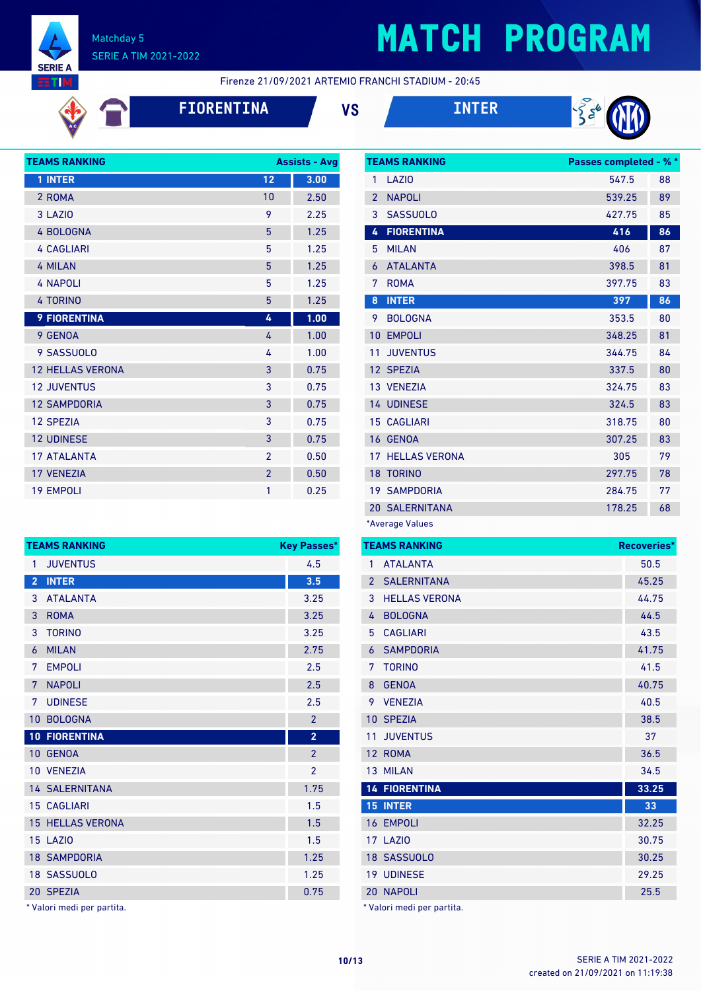

# **MATCH PROGRAM**

Firenze 21/09/2021 ARTEMIO FRANCHI STADIUM - 20:45





| <b>TEAMS RANKING</b>    | <b>Assists - Avg</b> |      |
|-------------------------|----------------------|------|
| 1 INTER                 | 12                   | 3.00 |
| 2 ROMA                  | 10                   | 2.50 |
| 3 LAZIO                 | 9                    | 2.25 |
| 4 BOLOGNA               | 5                    | 1.25 |
| <b>4 CAGLIARI</b>       | 5                    | 1.25 |
| <b>4 MILAN</b>          | 5                    | 1.25 |
| <b>4 NAPOLI</b>         | 5                    | 1.25 |
| <b>4 TORINO</b>         | 5                    | 1.25 |
| <b>9 FIORENTINA</b>     | 4                    | 1.00 |
| 9 GENOA                 | 4                    | 1.00 |
| 9 SASSUOLO              | 4                    | 1.00 |
| <b>12 HELLAS VERONA</b> | 3                    | 0.75 |
| <b>12 JUVENTUS</b>      | 3                    | 0.75 |
| <b>12 SAMPDORIA</b>     | 3                    | 0.75 |
| <b>12 SPEZIA</b>        | 3                    | 0.75 |
| <b>12 UDINESE</b>       | 3                    | 0.75 |
| <b>17 ATALANTA</b>      | $\overline{2}$       | 0.50 |
| <b>17 VENEZIA</b>       | $\overline{2}$       | 0.50 |
| <b>19 EMPOLI</b>        | 1                    | 0.25 |

| <b>TEAMS RANKING</b><br><b>Key Passes*</b> |                                 |  |
|--------------------------------------------|---------------------------------|--|
| <b>JUVENTUS</b>                            | 4.5                             |  |
| <b>INTER</b>                               | 3.5                             |  |
| <b>ATALANTA</b>                            | 3.25                            |  |
| <b>ROMA</b>                                | 3.25                            |  |
| <b>TORINO</b>                              | 3.25                            |  |
| <b>MILAN</b>                               | 2.75                            |  |
| <b>EMPOLI</b>                              | 2.5                             |  |
| <b>NAPOLI</b>                              | 2.5                             |  |
| <b>UDINESE</b>                             | 2.5                             |  |
| <b>BOLOGNA</b>                             | $\overline{2}$                  |  |
| <b>10 FIORENTINA</b>                       | $\overline{2}$                  |  |
| 10 GENOA                                   | $\overline{2}$                  |  |
| 10 VENEZIA                                 | $\overline{2}$                  |  |
| <b>14 SALERNITANA</b>                      | 1.75                            |  |
| <b>15 CAGLIARI</b>                         | 1.5                             |  |
| <b>15 HELLAS VERONA</b>                    | 1.5                             |  |
| 15 LAZIO                                   | 1.5                             |  |
| <b>18 SAMPDORIA</b>                        | 1.25                            |  |
| 18 SASSUOLO                                | 1.25                            |  |
| 20 SPEZIA                                  | 0.75                            |  |
|                                            | * Mataut as sult a su a sautits |  |

Valori medi per partita.

|                   | <b>TEAMS RANKING</b>  | <b>Passes completed - % *</b> |    |
|-------------------|-----------------------|-------------------------------|----|
| 1                 | LAZI <sub>0</sub>     | 547.5                         | 88 |
| $\overline{2}$    | <b>NAPOLI</b>         | 539.25                        | 89 |
| 3                 | <b>SASSUOLO</b>       | 427.75                        | 85 |
| 4                 | <b>FIORENTINA</b>     | 416                           | 86 |
| 5                 | <b>MILAN</b>          | 406                           | 87 |
| 6                 | <b>ATALANTA</b>       | 398.5                         | 81 |
| 7                 | <b>ROMA</b>           | 397.75                        | 83 |
| 8                 | <b>INTER</b>          | 397                           | 86 |
| 9                 | <b>BOLOGNA</b>        | 353.5                         | 80 |
| 10                | <b>EMPOLI</b>         | 348.25                        | 81 |
| 11                | <b>JUVENTUS</b>       | 344.75                        | 84 |
| $12 \overline{ }$ | <b>SPEZIA</b>         | 337.5                         | 80 |
|                   | 13 VENEZIA            | 324.75                        | 83 |
|                   | <b>14 UDINESE</b>     | 324.5                         | 83 |
| 15                | CAGLIARI              | 318.75                        | 80 |
| 16                | <b>GENOA</b>          | 307.25                        | 83 |
| 17                | <b>HELLAS VERONA</b>  | 305                           | 79 |
| 18                | <b>TORINO</b>         | 297.75                        | 78 |
|                   | <b>19 SAMPDORIA</b>   | 284.75                        | 77 |
|                   | <b>20 SALERNITANA</b> | 178.25                        | 68 |
|                   | *Average Values       |                               |    |

|                | <b>TEAMS RANKING</b>       | Recoveries* |
|----------------|----------------------------|-------------|
| 1              | <b>ATALANTA</b>            | 50.5        |
| $\overline{2}$ | <b>SALERNITANA</b>         | 45.25       |
| 3              | <b>HELLAS VERONA</b>       | 44.75       |
| 4              | <b>BOLOGNA</b>             | 44.5        |
| 5              | <b>CAGLIARI</b>            | 43.5        |
| 6              | <b>SAMPDORIA</b>           | 41.75       |
| 7              | <b>TORINO</b>              | 41.5        |
| 8              | <b>GENOA</b>               | 40.75       |
| 9              | <b>VENEZIA</b>             | 40.5        |
| 10             | <b>SPEZIA</b>              | 38.5        |
| 11             | <b>JUVENTUS</b>            | 37          |
|                | 12 ROMA                    | 36.5        |
|                | 13 MILAN                   | 34.5        |
|                | <b>14 FIORENTINA</b>       | 33.25       |
|                | <b>15 INTER</b>            | 33          |
|                | 16 EMPOLI                  | 32.25       |
|                | 17 LAZIO                   | 30.75       |
|                | 18 SASSUOLO                | 30.25       |
|                | <b>19 UDINESE</b>          | 29.25       |
|                | 20 NAPOLI                  | 25.5        |
|                | * Valori medi per partita. |             |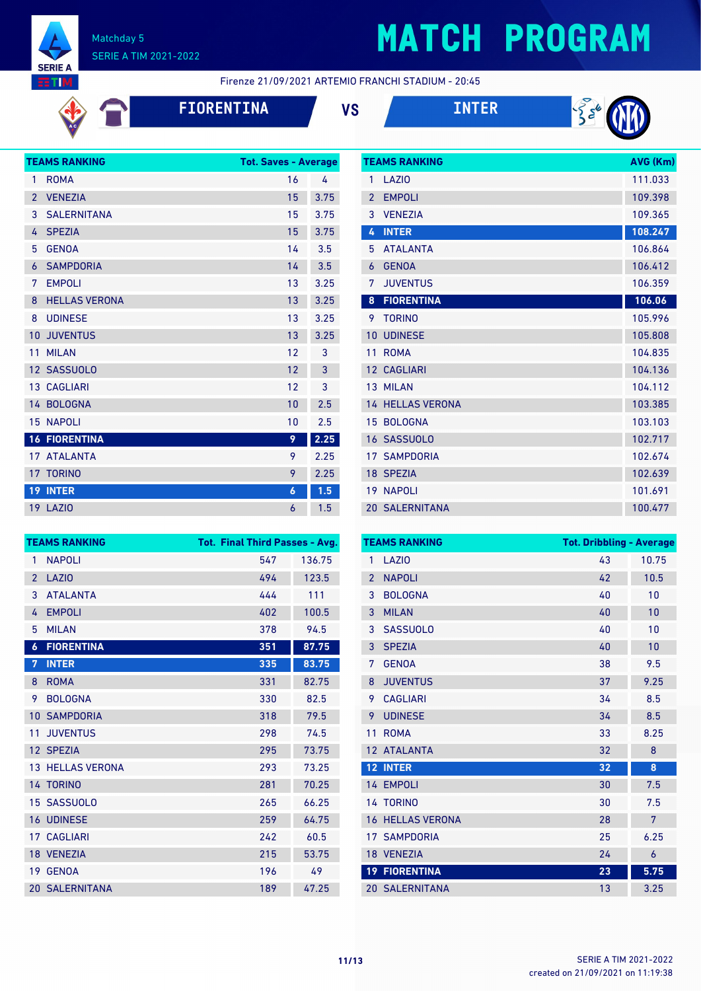

# **MATCH PROGRAM**

Firenze 21/09/2021 ARTEMIO FRANCHI STADIUM - 20:45

**FIORENTINA VS INTER**





|                | <b>TEAMS RANKING</b> | <b>Tot. Saves - Average</b> |      |
|----------------|----------------------|-----------------------------|------|
| 1              | <b>ROMA</b>          | 16                          | 4    |
| $\overline{2}$ | <b>VENEZIA</b>       | 15                          | 3.75 |
| 3              | <b>SALERNITANA</b>   | 15                          | 3.75 |
| 4              | <b>SPEZIA</b>        | 15                          | 3.75 |
| 5              | <b>GENOA</b>         | 14                          | 3.5  |
| 6              | <b>SAMPDORIA</b>     | 14                          | 3.5  |
| 7              | <b>EMPOLI</b>        | 13                          | 3.25 |
| 8              | <b>HELLAS VERONA</b> | 13                          | 3.25 |
| 8              | <b>UDINESE</b>       | 13                          | 3.25 |
| 10             | <b>JUVENTUS</b>      | 13                          | 3.25 |
| 11             | <b>MILAN</b>         | 12                          | 3    |
|                | 12 SASSUOLO          | 12                          | 3    |
|                | <b>13 CAGLIARI</b>   | 12                          | 3    |
|                | 14 BOLOGNA           | 10                          | 2.5  |
|                | <b>15 NAPOLI</b>     | 10                          | 2.5  |
|                | <b>16 FIORENTINA</b> | 9                           | 2.25 |
|                | 17 ATALANTA          | 9                           | 2.25 |
|                | 17 TORINO            | 9                           | 2.25 |
| 19             | <b>INTER</b>         | 6                           | 1.5  |
|                | <b>19 LAZIO</b>      | 6                           | 1.5  |
|                |                      |                             |      |

|                 | <b>TEAMS RANKING</b>    | AVG (Km) |
|-----------------|-------------------------|----------|
| 1               | LAZIO                   | 111.033  |
| $\overline{2}$  | <b>EMPOLI</b>           | 109.398  |
| 3               | <b>VENEZIA</b>          | 109.365  |
| 4               | <b>INTER</b>            | 108.247  |
| 5               | <b>ATALANTA</b>         | 106.864  |
| $\overline{6}$  | <b>GENOA</b>            | 106.412  |
| 7               | <b>JUVENTUS</b>         | 106.359  |
| 8               | <b>FIORENTINA</b>       | 106.06   |
| 9               | <b>TORINO</b>           | 105.996  |
| 10              | <b>UDINESE</b>          | 105.808  |
| 11              | <b>ROMA</b>             | 104.835  |
| 12 <sup>2</sup> | <b>CAGLIARI</b>         | 104.136  |
|                 | 13 MILAN                | 104.112  |
|                 | <b>14 HELLAS VERONA</b> | 103.385  |
| 15              | <b>BOLOGNA</b>          | 103.103  |
|                 | 16 SASSUOLO             | 102.717  |
| 17 <sup>7</sup> | <b>SAMPDORIA</b>        | 102.674  |
|                 | 18 SPEZIA               | 102.639  |
| 19 <sup>°</sup> | <b>NAPOLI</b>           | 101.691  |
|                 | <b>20 SALERNITANA</b>   | 100.477  |

| <b>TEAMS RANKING</b> |                         |     | Tot. Final Third Passes - Avg. |  |  |
|----------------------|-------------------------|-----|--------------------------------|--|--|
| 1                    | <b>NAPOLI</b>           | 547 | 136.75                         |  |  |
| $\overline{2}$       | <b>LAZIO</b>            | 494 | 123.5                          |  |  |
| 3                    | <b>ATALANTA</b>         | 444 | 111                            |  |  |
| 4                    | <b>EMPOLI</b>           | 402 | 100.5                          |  |  |
| 5                    | <b>MILAN</b>            | 378 | 94.5                           |  |  |
| $\boldsymbol{6}$     | <b>FIORENTINA</b>       | 351 | 87.75                          |  |  |
| 7                    | <b>INTER</b>            | 335 | 83.75                          |  |  |
| 8                    | <b>ROMA</b>             | 331 | 82.75                          |  |  |
| 9                    | <b>BOLOGNA</b>          | 330 | 82.5                           |  |  |
| 10                   | <b>SAMPDORIA</b>        | 318 | 79.5                           |  |  |
| 11                   | <b>JUVENTUS</b>         | 298 | 74.5                           |  |  |
|                      | 12 SPEZIA               | 295 | 73.75                          |  |  |
|                      | <b>13 HELLAS VERONA</b> | 293 | 73.25                          |  |  |
|                      | 14 TORINO               | 281 | 70.25                          |  |  |
| 15                   | <b>SASSUOLO</b>         | 265 | 66.25                          |  |  |
|                      | <b>16 UDINESE</b>       | 259 | 64.75                          |  |  |
|                      | <b>17 CAGLIARI</b>      | 242 | 60.5                           |  |  |
|                      | 18 VENEZIA              | 215 | 53.75                          |  |  |
| 19                   | <b>GENOA</b>            | 196 | 49                             |  |  |
|                      | <b>20 SALERNITANA</b>   | 189 | 47.25                          |  |  |

|                          | <b>TEAMS RANKING</b>  | <b>Tot. Dribbling - Average</b> |       |
|--------------------------|-----------------------|---------------------------------|-------|
| 1                        | LAZI <sub>0</sub>     | 43                              | 10.75 |
| $\overline{\phantom{a}}$ | <b>NAPOLI</b>         | 42                              | 10.5  |
| 3                        | <b>BOLOGNA</b>        | 40                              | 10    |
| 3                        | <b>MILAN</b>          | 40                              | 10    |
| 3                        | <b>SASSUOLO</b>       | 40                              | 10    |
| 3                        | <b>SPEZIA</b>         | 40                              | 10    |
| 7                        | <b>GENOA</b>          | 38                              | 9.5   |
| 8                        | <b>JUVENTUS</b>       | 37                              | 9.25  |
| 9                        | <b>CAGLIARI</b>       | 34                              | 8.5   |
| 9                        | <b>UDINESE</b>        | 34                              | 8.5   |
| 11                       | <b>ROMA</b>           | 33                              | 8.25  |
| 12                       | <b>ATALANTA</b>       | 32                              | 8     |
|                          | 12 INTER              | 32                              | 8     |
|                          | 14 EMPOLI             | 30                              | 7.5   |
|                          | 14 TORINO             | 30                              | 7.5   |
| 16                       | <b>HELLAS VERONA</b>  | 28                              | 7     |
|                          | <b>17 SAMPDORIA</b>   | 25                              | 6.25  |
|                          | 18 VENEZIA            | 24                              | 6     |
|                          | <b>19 FIORENTINA</b>  | 23                              | 5.75  |
|                          | <b>20 SALERNITANA</b> | 13                              | 3.25  |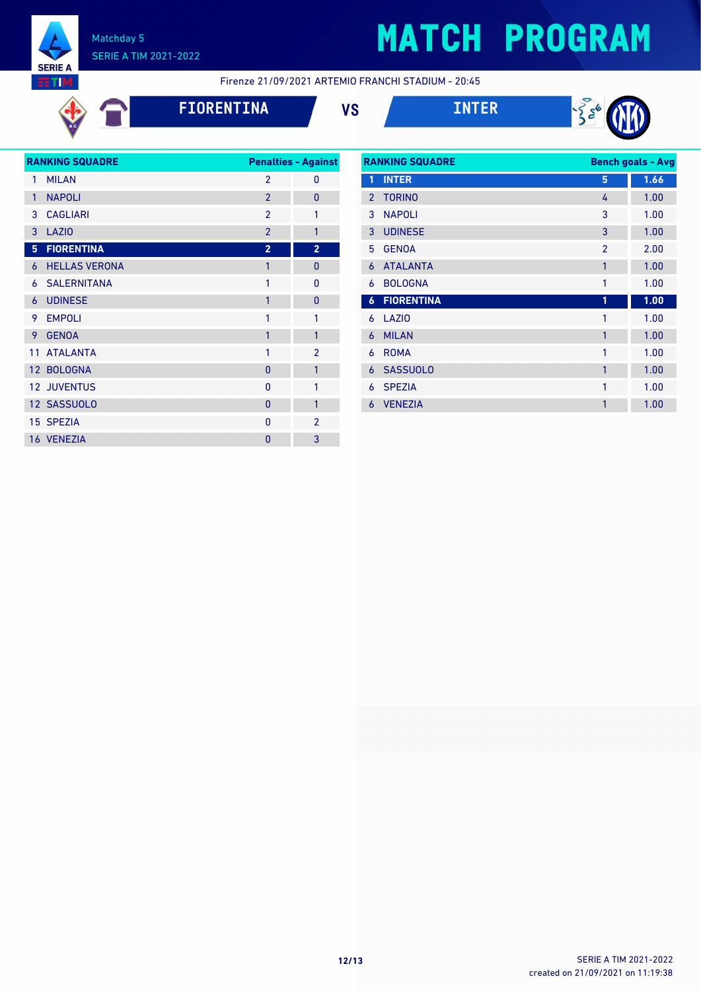

# **MATCH PROGRAM**

**RTIM** 

#### Firenze 21/09/2021 ARTEMIO FRANCHI STADIUM - 20:45





|              | <b>RANKING SQUADRE</b> |                | <b>Penalties - Against</b> |
|--------------|------------------------|----------------|----------------------------|
| 1            | <b>MILAN</b>           | $\overline{2}$ | 0                          |
| $\mathbf{1}$ | <b>NAPOLI</b>          | $\overline{2}$ | 0                          |
| 3            | <b>CAGLIARI</b>        | $\overline{2}$ | 1                          |
| 3            | LAZI <sub>0</sub>      | $\overline{2}$ | $\mathbf{1}$               |
| 5            | <b>FIORENTINA</b>      | $\overline{2}$ | $\overline{2}$             |
| 6            | <b>HELLAS VERONA</b>   | $\mathbf{1}$   | $\overline{0}$             |
| 6            | <b>SALERNITANA</b>     | 1              | 0                          |
| 6            | <b>UDINESE</b>         | $\mathbf{1}$   | $\Omega$                   |
| 9.           | <b>EMPOLI</b>          | 1              | 1                          |
| 9            | <b>GENOA</b>           | 1              | 1                          |
|              | 11 ATALANTA            | 1              | $\overline{2}$             |
|              | 12 BOLOGNA             | $\Omega$       | $\mathbf{1}$               |
|              | <b>12 JUVENTUS</b>     | $\mathbf{0}$   | 1                          |
|              | 12 SASSUOLO            | $\mathbf{0}$   | 1                          |
|              | 15 SPEZIA              | $\mathbf{0}$   | $\overline{2}$             |
|              | 16 VENEZIA             | $\overline{0}$ | 3                          |

| <b>RANKING SQUADRE</b> |                   |                | <b>Bench goals - Avg</b> |  |
|------------------------|-------------------|----------------|--------------------------|--|
| 1                      | <b>INTER</b>      | 5              | 1.66                     |  |
| $\overline{2}$         | <b>TORINO</b>     | 4              | 1.00                     |  |
| 3                      | <b>NAPOLI</b>     | 3              | 1.00                     |  |
| 3                      | <b>UDINESE</b>    | 3              | 1.00                     |  |
| 5                      | <b>GENOA</b>      | $\overline{2}$ | 2.00                     |  |
| 6                      | <b>ATALANTA</b>   | 1              | 1.00                     |  |
| 6                      | <b>BOLOGNA</b>    | 1              | 1.00                     |  |
| $\boldsymbol{6}$       | <b>FIORENTINA</b> | 1              | 1.00                     |  |
| 6                      | LAZI <sub>0</sub> | 1              | 1.00                     |  |
| 6                      | <b>MILAN</b>      | 1              | 1.00                     |  |
| 6                      | <b>ROMA</b>       | 1              | 1.00                     |  |
| 6                      | <b>SASSUOLO</b>   | $\mathbf{1}$   | 1.00                     |  |
| 6                      | <b>SPEZIA</b>     | 1              | 1.00                     |  |
| 6                      | <b>VENEZIA</b>    | 1              | 1.00                     |  |